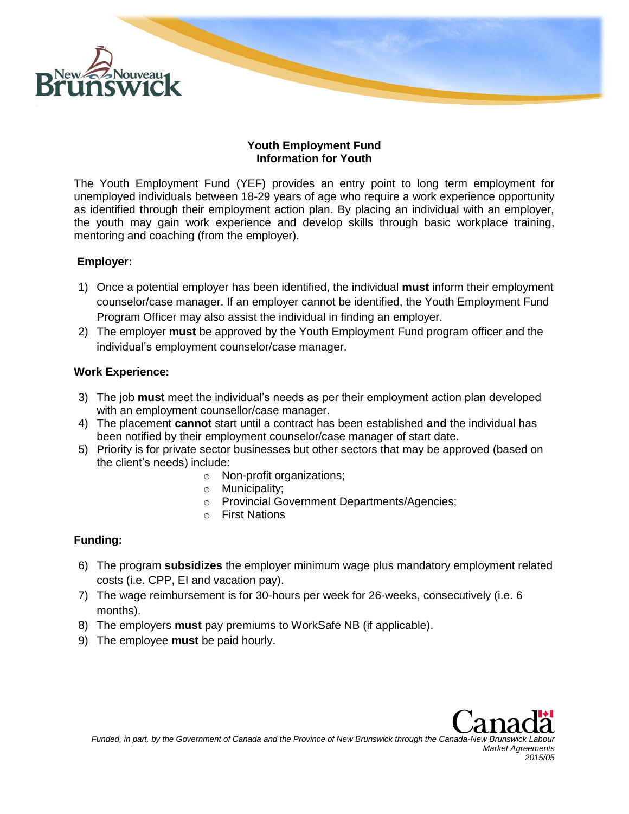

#### **Youth Employment Fund Information for Youth**

The Youth Employment Fund (YEF) provides an entry point to long term employment for unemployed individuals between 18-29 years of age who require a work experience opportunity as identified through their employment action plan. By placing an individual with an employer, the youth may gain work experience and develop skills through basic workplace training, mentoring and coaching (from the employer).

### **Employer:**

- 1) Once a potential employer has been identified, the individual **must** inform their employment counselor/case manager. If an employer cannot be identified, the Youth Employment Fund Program Officer may also assist the individual in finding an employer.
- 2) The employer **must** be approved by the Youth Employment Fund program officer and the individual's employment counselor/case manager.

#### **Work Experience:**

- 3) The job **must** meet the individual's needs as per their employment action plan developed with an employment counsellor/case manager.
- 4) The placement **cannot** start until a contract has been established **and** the individual has been notified by their employment counselor/case manager of start date.
- 5) Priority is for private sector businesses but other sectors that may be approved (based on the client's needs) include:
	- o Non-profit organizations;
	- o Municipality;
	- o Provincial Government Departments/Agencies;
	- o First Nations

# **Funding:**

- 6) The program **subsidizes** the employer minimum wage plus mandatory employment related costs (i.e. CPP, EI and vacation pay).
- 7) The wage reimbursement is for 30-hours per week for 26-weeks, consecutively (i.e. 6 months).
- 8) The employers **must** pay premiums to WorkSafe NB (if applicable).
- 9) The employee **must** be paid hourly.